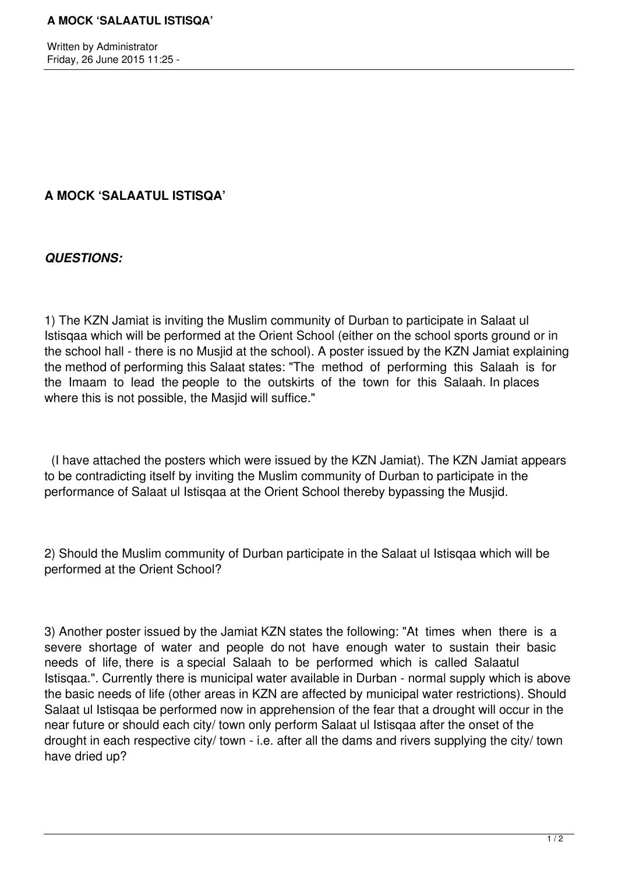Written by Administrator Friday, 26 June 2015 11:25 -

## **A MOCK 'SALAATUL ISTISQA'**

*QUESTIONS:*

1) The KZN Jamiat is inviting the Muslim community of Durban to participate in Salaat ul Istisqaa which will be performed at the Orient School (either on the school sports ground or in the school hall - there is no Musjid at the school). A poster issued by the KZN Jamiat explaining the method of performing this Salaat states: "The method of performing this Salaah is for the Imaam to lead the people to the outskirts of the town for this Salaah. In places where this is not possible, the Masjid will suffice."

 (I have attached the posters which were issued by the KZN Jamiat). The KZN Jamiat appears to be contradicting itself by inviting the Muslim community of Durban to participate in the performance of Salaat ul Istisqaa at the Orient School thereby bypassing the Musjid.

2) Should the Muslim community of Durban participate in the Salaat ul Istisqaa which will be performed at the Orient School?

3) Another poster issued by the Jamiat KZN states the following: "At times when there is a severe shortage of water and people do not have enough water to sustain their basic needs of life, there is a special Salaah to be performed which is called Salaatul Istisqaa.". Currently there is municipal water available in Durban - normal supply which is above the basic needs of life (other areas in KZN are affected by municipal water restrictions). Should Salaat ul Istisqaa be performed now in apprehension of the fear that a drought will occur in the near future or should each city/ town only perform Salaat ul Istisqaa after the onset of the drought in each respective city/ town - i.e. after all the dams and rivers supplying the city/ town have dried up?